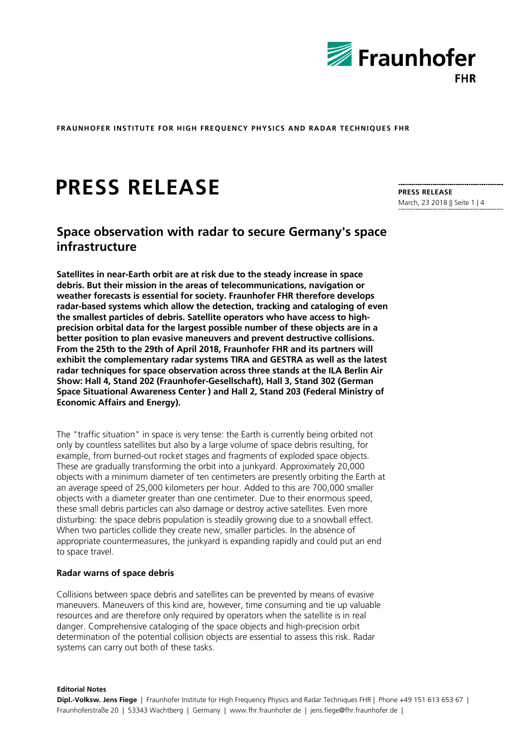

# **PRESS RELEASE**

# **Space observation with radar to secure Germany's space infrastructure**

**Satellites in near-Earth orbit are at risk due to the steady increase in space debris. But their mission in the areas of telecommunications, navigation or weather forecasts is essential for society. Fraunhofer FHR therefore develops radar-based systems which allow the detection, tracking and cataloging of even the smallest particles of debris. Satellite operators who have access to highprecision orbital data for the largest possible number of these objects are in a better position to plan evasive maneuvers and prevent destructive collisions. From the 25th to the 29th of April 2018, Fraunhofer FHR and its partners will exhibit the complementary radar systems TIRA and GESTRA as well as the latest radar techniques for space observation across three stands at the ILA Berlin Air Show: Hall 4, Stand 202 (Fraunhofer-Gesellschaft), Hall 3, Stand 302 (German Space Situational Awareness Center ) and Hall 2, Stand 203 (Federal Ministry of Economic Affairs and Energy).** 

The "traffic situation" in space is very tense: the Earth is currently being orbited not only by countless satellites but also by a large volume of space debris resulting, for example, from burned-out rocket stages and fragments of exploded space objects. These are gradually transforming the orbit into a junkyard. Approximately 20,000 objects with a minimum diameter of ten centimeters are presently orbiting the Earth at an average speed of 25,000 kilometers per hour. Added to this are 700,000 smaller objects with a diameter greater than one centimeter. Due to their enormous speed, these small debris particles can also damage or destroy active satellites. Even more disturbing: the space debris population is steadily growing due to a snowball effect. When two particles collide they create new, smaller particles. In the absence of appropriate countermeasures, the junkyard is expanding rapidly and could put an end to space travel.

#### **Radar warns of space debris**

Collisions between space debris and satellites can be prevented by means of evasive maneuvers. Maneuvers of this kind are, however, time consuming and tie up valuable resources and are therefore only required by operators when the satellite is in real danger. Comprehensive cataloging of the space objects and high-precision orbit determination of the potential collision objects are essential to assess this risk. Radar systems can carry out both of these tasks.

#### **Editorial Notes**

**PRESS RELEASE**  March, 23 2018 || Seite 1 | 4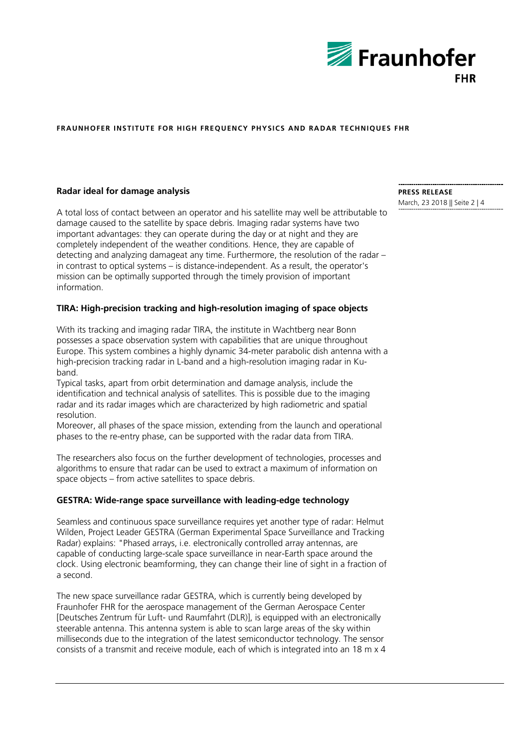

## **Radar ideal for damage analysis**

A total loss of contact between an operator and his satellite may well be attributable to damage caused to the satellite by space debris. Imaging radar systems have two important advantages: they can operate during the day or at night and they are completely independent of the weather conditions. Hence, they are capable of detecting and analyzing damageat any time. Furthermore, the resolution of the radar – in contrast to optical systems – is distance-independent. As a result, the operator's mission can be optimally supported through the timely provision of important information.

# **TIRA: High-precision tracking and high-resolution imaging of space objects**

With its tracking and imaging radar TIRA, the institute in Wachtberg near Bonn possesses a space observation system with capabilities that are unique throughout Europe. This system combines a highly dynamic 34-meter parabolic dish antenna with a high-precision tracking radar in L-band and a high-resolution imaging radar in Kuband.

Typical tasks, apart from orbit determination and damage analysis, include the identification and technical analysis of satellites. This is possible due to the imaging radar and its radar images which are characterized by high radiometric and spatial resolution.

Moreover, all phases of the space mission, extending from the launch and operational phases to the re-entry phase, can be supported with the radar data from TIRA.

The researchers also focus on the further development of technologies, processes and algorithms to ensure that radar can be used to extract a maximum of information on space objects – from active satellites to space debris.

### **GESTRA: Wide-range space surveillance with leading-edge technology**

Seamless and continuous space surveillance requires yet another type of radar: Helmut Wilden, Project Leader GESTRA (German Experimental Space Surveillance and Tracking Radar) explains: "Phased arrays, i.e. electronically controlled array antennas, are capable of conducting large-scale space surveillance in near-Earth space around the clock. Using electronic beamforming, they can change their line of sight in a fraction of a second.

The new space surveillance radar GESTRA, which is currently being developed by Fraunhofer FHR for the aerospace management of the German Aerospace Center [Deutsches Zentrum für Luft- und Raumfahrt (DLR)], is equipped with an electronically steerable antenna. This antenna system is able to scan large areas of the sky within milliseconds due to the integration of the latest semiconductor technology. The sensor consists of a transmit and receive module, each of which is integrated into an 18 m x 4

**PRESS RELEASE**  March, 23 2018 || Seite 2 | 4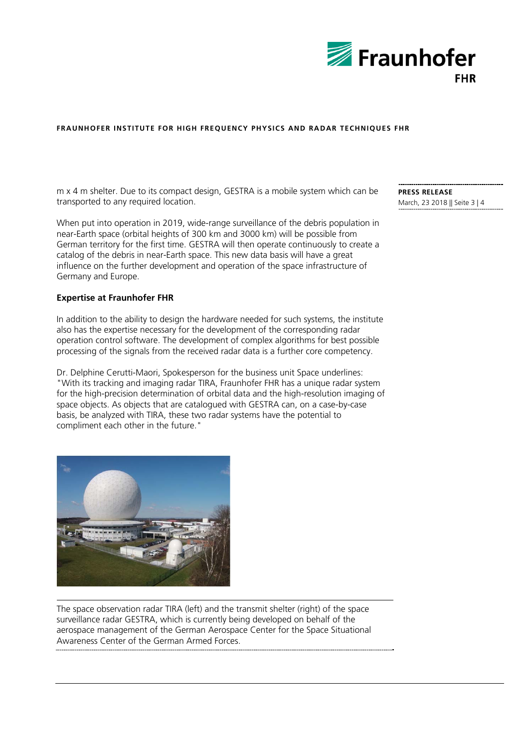

m x 4 m shelter. Due to its compact design, GESTRA is a mobile system which can be transported to any required location.

When put into operation in 2019, wide-range surveillance of the debris population in near-Earth space (orbital heights of 300 km and 3000 km) will be possible from German territory for the first time. GESTRA will then operate continuously to create a catalog of the debris in near-Earth space. This new data basis will have a great influence on the further development and operation of the space infrastructure of Germany and Europe.

#### **Expertise at Fraunhofer FHR**

In addition to the ability to design the hardware needed for such systems, the institute also has the expertise necessary for the development of the corresponding radar operation control software. The development of complex algorithms for best possible processing of the signals from the received radar data is a further core competency.

Dr. Delphine Cerutti-Maori, Spokesperson for the business unit Space underlines: "With its tracking and imaging radar TIRA, Fraunhofer FHR has a unique radar system for the high-precision determination of orbital data and the high-resolution imaging of space objects. As objects that are catalogued with GESTRA can, on a case-by-case basis, be analyzed with TIRA, these two radar systems have the potential to compliment each other in the future."



The space observation radar TIRA (left) and the transmit shelter (right) of the space surveillance radar GESTRA, which is currently being developed on behalf of the aerospace management of the German Aerospace Center for the Space Situational Awareness Center of the German Armed Forces.

**PRESS RELEASE**  March, 23 2018 || Seite 3 | 4